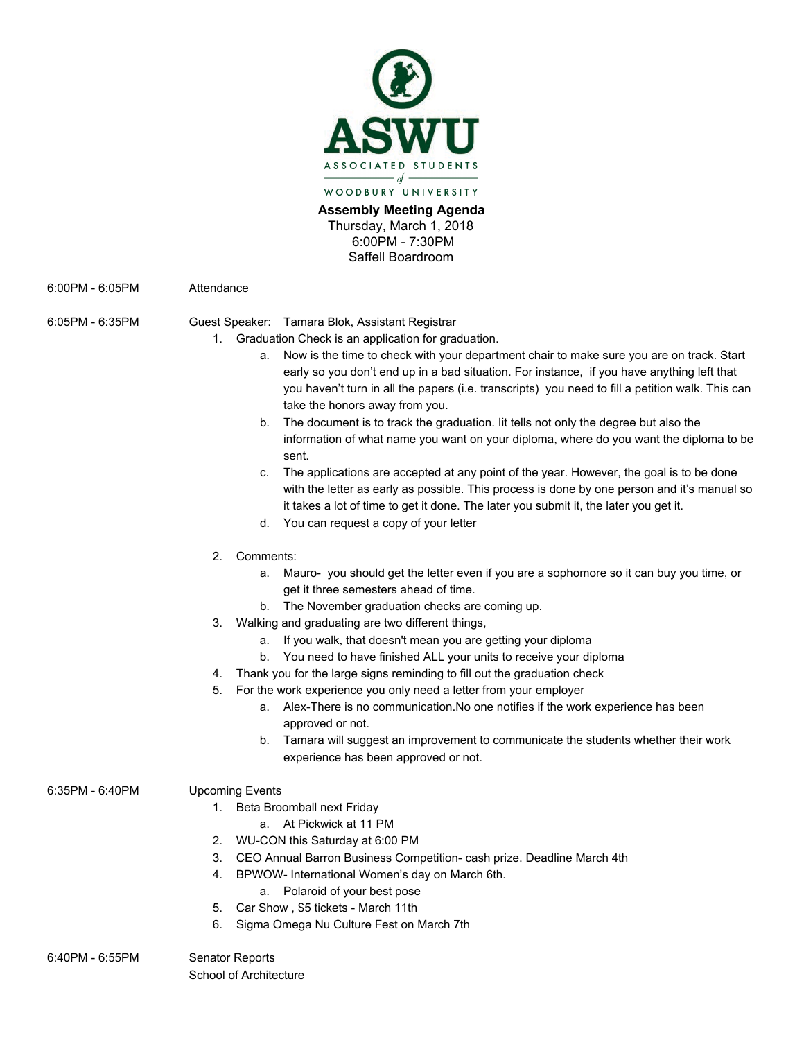

**Assembly Meeting Agenda**  Thursday, March 1, 2018 6:00PM - 7:30PM Saffell Boardroom

6:00PM - 6:05PM Attendance

- 6:05PM 6:35PM Guest Speaker: Tamara Blok, Assistant Registrar
	- 1. Graduation Check is an application for graduation.
		- a. Now is the time to check with your department chair to make sure you are on track. Start early so you don't end up in a bad situation. For instance, if you have anything left that you haven't turn in all the papers (i.e. transcripts) you need to fill a petition walk. This can take the honors away from you.
		- b. The document is to track the graduation. Iit tells not only the degree but also the information of what name you want on your diploma, where do you want the diploma to be sent.
		- c. The applications are accepted at any point of the year. However, the goal is to be done with the letter as early as possible. This process is done by one person and it's manual so it takes a lot of time to get it done. The later you submit it, the later you get it.
		- d. You can request a copy of your letter
	- 2. Comments:
		- a. Mauro- you should get the letter even if you are a sophomore so it can buy you time, or get it three semesters ahead of time.
		- b. The November graduation checks are coming up.
	- 3. Walking and graduating are two different things,
		- a. If you walk, that doesn't mean you are getting your diploma
		- b. You need to have finished ALL your units to receive your diploma
	- 4. Thank you for the large signs reminding to fill out the graduation check
	- 5. For the work experience you only need a letter from your employer
		- a. Alex-There is no communication.No one notifies if the work experience has been approved or not.
		- b. Tamara will suggest an improvement to communicate the students whether their work experience has been approved or not.

# 6:35PM - 6:40PM Upcoming Events

- 1. Beta Broomball next Friday
	- a. At Pickwick at 11 PM
- 2. WU-CON this Saturday at 6:00 PM
- 3. CEO Annual Barron Business Competition- cash prize. Deadline March 4th
- 4. BPWOW- International Women's day on March 6th.
	- a. Polaroid of your best pose
- 5. Car Show , \$5 tickets March 11th
- 6. Sigma Omega Nu Culture Fest on March 7th

#### 6:40PM - 6:55PM Senator Reports School of Architecture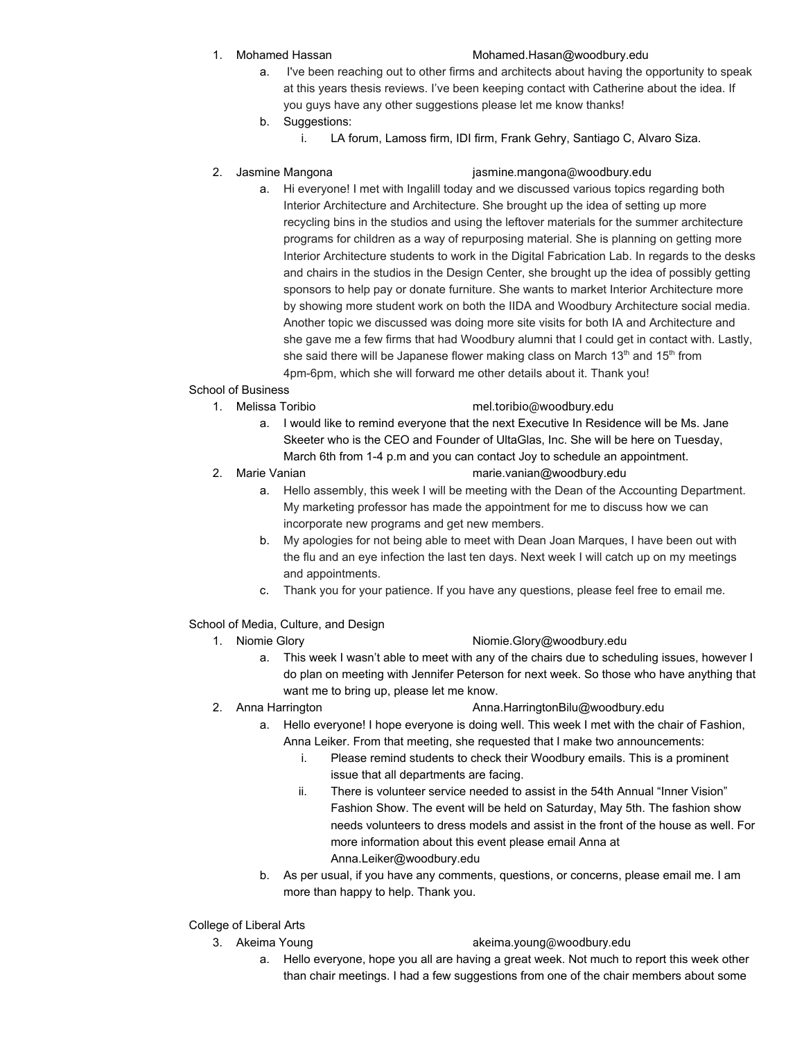## 1. Mohamed Hassan [Mohamed.Hasan@woodbury.edu](mailto:Mohamed.Hasan@woodbury.edu)

- a. I've been reaching out to other firms and architects about having the opportunity to speak at this years thesis reviews. I've been keeping contact with Catherine about the idea. If you guys have any other suggestions please let me know thanks!
- b. Suggestions:
	- i. LA forum, Lamoss firm, IDI firm, Frank Gehry, Santiago C, Alvaro Siza.

#### 2. Jasmine Mangona [jasmine.mangona@woodbury.edu](mailto:jasmine.mangona@woodbury.edu)

a. Hi everyone! I met with Ingalill today and we discussed various topics regarding both Interior Architecture and Architecture. She brought up the idea of setting up more recycling bins in the studios and using the leftover materials for the summer architecture programs for children as a way of repurposing material. She is planning on getting more Interior Architecture students to work in the Digital Fabrication Lab. In regards to the desks and chairs in the studios in the Design Center, she brought up the idea of possibly getting sponsors to help pay or donate furniture. She wants to market Interior Architecture more by showing more student work on both the IIDA and Woodbury Architecture social media. Another topic we discussed was doing more site visits for both IA and Architecture and she gave me a few firms that had Woodbury alumni that I could get in contact with. Lastly, she said there will be Japanese flower making class on March 13<sup>th</sup> and 15<sup>th</sup> from 4pm-6pm, which she will forward me other details about it. Thank you!

# School of Business

## 1. Melissa Toribio mel.toribio@woodbury.edu

- a. I would like to remind everyone that the next Executive In Residence will be Ms. Jane Skeeter who is the CEO and Founder of UltaGlas, Inc. She will be here on Tuesday, March 6th from 1-4 p.m and you can contact Joy to schedule an appointment.
- 
- 2. Marie Vanian marie.vanian@woodbury.edu
	- a. Hello assembly, this week I will be meeting with the Dean of the Accounting Department. My marketing professor has made the appointment for me to discuss how we can incorporate new programs and get new members.
	- b. My apologies for not being able to meet with Dean Joan Marques, I have been out with the flu and an eye infection the last ten days. Next week I will catch up on my meetings and appointments.
	- c. Thank you for your patience. If you have any questions, please feel free to email me.

# School of Media, Culture, and Design

# 1. Niomie Glory **Niomie.Glory@woodbury.edu**

- a. This week I wasn't able to meet with any of the chairs due to scheduling issues, however I do plan on meeting with Jennifer Peterson for next week. So those who have anything that want me to bring up, please let me know.
- 
- 2. Anna Harrington **[Anna.HarringtonBilu@woodbury.edu](mailto:Anna.HarringtonBilu@woodbury.edu)** 
	- a. Hello everyone! I hope everyone is doing well. This week I met with the chair of Fashion, Anna Leiker. From that meeting, she requested that I make two announcements:
		- i. Please remind students to check their Woodbury emails. This is a prominent issue that all departments are facing.
		- ii. There is volunteer service needed to assist in the 54th Annual "Inner Vision" Fashion Show. The event will be held on Saturday, May 5th. The fashion show needs volunteers to dress models and assist in the front of the house as well. For more information about this event please email Anna at Anna.Leiker@woodbury.edu
	- b. As per usual, if you have any comments, questions, or concerns, please email me. I am more than happy to help. Thank you.

# College of Liberal Arts

- 3. Akeima Young akeima.young@woodbury.edu
	- a. Hello everyone, hope you all are having a great week. Not much to report this week other than chair meetings. I had a few suggestions from one of the chair members about some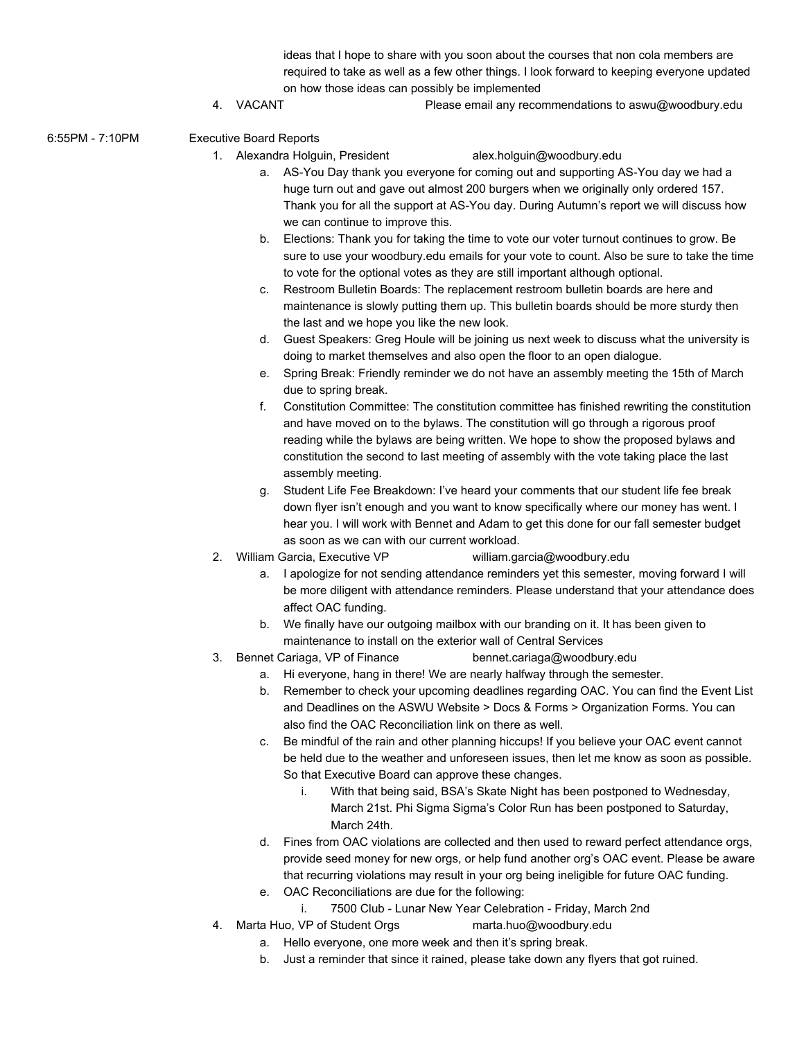ideas that I hope to share with you soon about the courses that non cola members are required to take as well as a few other things. I look forward to keeping everyone updated on how those ideas can possibly be implemented

- 4. VACANT Please email any recommendations to aswu@woodbury.edu
- 6:55PM 7:10PM Executive Board Reports
	- 1. Alexandra Holguin, President alex.holguin@woodbury.edu

- a. AS-You Day thank you everyone for coming out and supporting AS-You day we had a huge turn out and gave out almost 200 burgers when we originally only ordered 157. Thank you for all the support at AS-You day. During Autumn's report we will discuss how we can continue to improve this.
- b. Elections: Thank you for taking the time to vote our voter turnout continues to grow. Be sure to use your woodbury.edu emails for your vote to count. Also be sure to take the time to vote for the optional votes as they are still important although optional.
- c. Restroom Bulletin Boards: The replacement restroom bulletin boards are here and maintenance is slowly putting them up. This bulletin boards should be more sturdy then the last and we hope you like the new look.
- d. Guest Speakers: Greg Houle will be joining us next week to discuss what the university is doing to market themselves and also open the floor to an open dialogue.
- e. Spring Break: Friendly reminder we do not have an assembly meeting the 15th of March due to spring break.
- f. Constitution Committee: The constitution committee has finished rewriting the constitution and have moved on to the bylaws. The constitution will go through a rigorous proof reading while the bylaws are being written. We hope to show the proposed bylaws and constitution the second to last meeting of assembly with the vote taking place the last assembly meeting.
- g. Student Life Fee Breakdown: I've heard your comments that our student life fee break down flyer isn't enough and you want to know specifically where our money has went. I hear you. I will work with Bennet and Adam to get this done for our fall semester budget as soon as we can with our current workload.
- 2. William Garcia, Executive VP william.garcia@woodbury.edu
	- a. I apologize for not sending attendance reminders yet this semester, moving forward I will be more diligent with attendance reminders. Please understand that your attendance does affect OAC funding.
	- b. We finally have our outgoing mailbox with our branding on it. It has been given to maintenance to install on the exterior wall of Central Services
- 3. Bennet Cariaga, VP of Finance [bennet.cariaga@woodbury.edu](mailto:bennet.cariaga@woodbury.edu)
	- a. Hi everyone, hang in there! We are nearly halfway through the semester.
	- b. Remember to check your upcoming deadlines regarding OAC. You can find the Event List and Deadlines on the ASWU Website > Docs & Forms > Organization Forms. You can also find the OAC Reconciliation link on there as well.
	- c. Be mindful of the rain and other planning hiccups! If you believe your OAC event cannot be held due to the weather and unforeseen issues, then let me know as soon as possible. So that Executive Board can approve these changes.
		- i. With that being said, BSA's Skate Night has been postponed to Wednesday, March 21st. Phi Sigma Sigma's Color Run has been postponed to Saturday, March 24th.
	- d. Fines from OAC violations are collected and then used to reward perfect attendance orgs, provide seed money for new orgs, or help fund another org's OAC event. Please be aware that recurring violations may result in your org being ineligible for future OAC funding.
	- e. OAC Reconciliations are due for the following:
	- i. 7500 Club Lunar New Year Celebration Friday, March 2nd
- 4. Marta Huo, VP of Student Orgs [marta.huo@woodbury.edu](mailto:marta.huo@woodbury.edu)
	- a. Hello everyone, one more week and then it's spring break.
	- b. Just a reminder that since it rained, please take down any flyers that got ruined.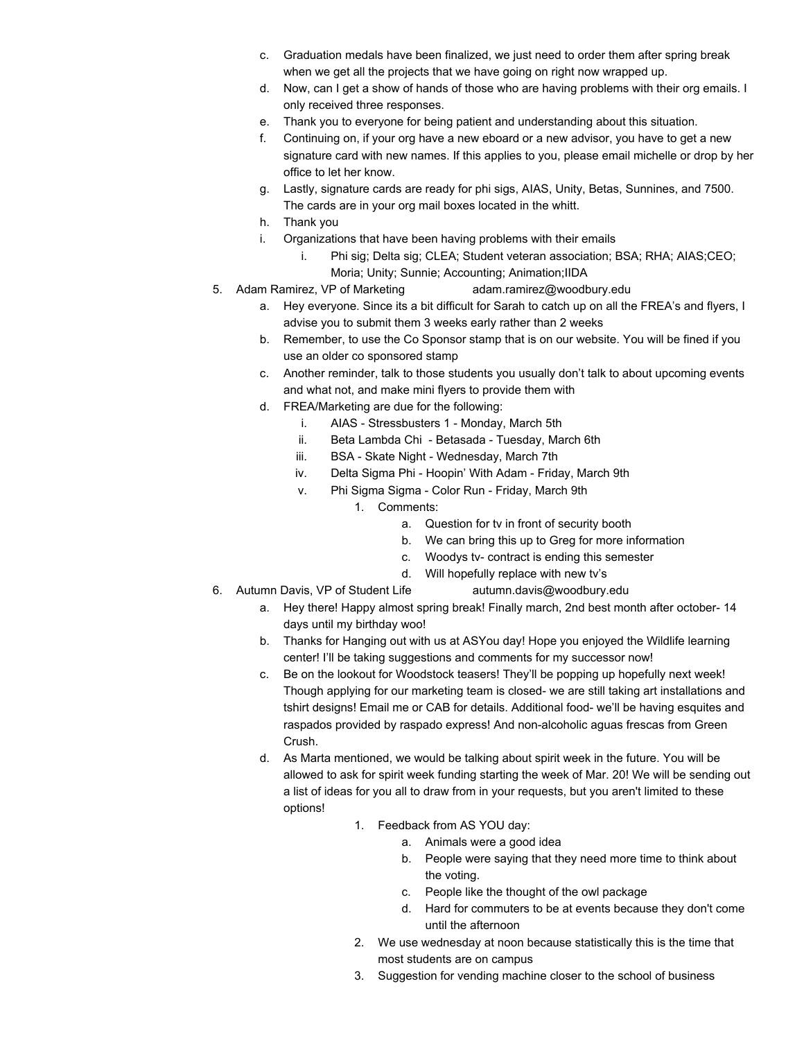- c. Graduation medals have been finalized, we just need to order them after spring break when we get all the projects that we have going on right now wrapped up.
- d. Now, can I get a show of hands of those who are having problems with their org emails. I only received three responses.
- e. Thank you to everyone for being patient and understanding about this situation.
- f. Continuing on, if your org have a new eboard or a new advisor, you have to get a new signature card with new names. If this applies to you, please email michelle or drop by her office to let her know.
- g. Lastly, signature cards are ready for phi sigs, AIAS, Unity, Betas, Sunnines, and 7500. The cards are in your org mail boxes located in the whitt.
- h. Thank you
- i. Organizations that have been having problems with their emails
	- i. Phi sig; Delta sig; CLEA; Student veteran association; BSA; RHA; AIAS;CEO; Moria; Unity; Sunnie; Accounting; Animation;IIDA
- 5. Adam Ramirez, VP of Marketing adam.ramirez@woodbury.edu
	- a. Hey everyone. Since its a bit difficult for Sarah to catch up on all the FREA's and flyers, I advise you to submit them 3 weeks early rather than 2 weeks
	- b. Remember, to use the Co Sponsor stamp that is on our website. You will be fined if you use an older co sponsored stamp
	- c. Another reminder, talk to those students you usually don't talk to about upcoming events and what not, and make mini flyers to provide them with
	- d. FREA/Marketing are due for the following:
		- i. AIAS Stressbusters 1 Monday, March 5th
		- ii. Beta Lambda Chi Betasada Tuesday, March 6th
		- iii. BSA Skate Night Wednesday, March 7th
		- iv. Delta Sigma Phi Hoopin' With Adam Friday, March 9th
		- v. Phi Sigma Sigma Color Run Friday, March 9th
			- 1. Comments:
				- a. Question for tv in front of security booth
				- b. We can bring this up to Greg for more information
				- c. Woodys tv- contract is ending this semester
				- d. Will hopefully replace with new tv's
- 6. Autumn Davis, VP of Student Life [autumn.davis@woodbury.edu](mailto:autumn.davis@woodbury.edu)
	-
	- a. Hey there! Happy almost spring break! Finally march, 2nd best month after october- 14 days until my birthday woo!
	- b. Thanks for Hanging out with us at ASYou day! Hope you enjoyed the Wildlife learning center! I'll be taking suggestions and comments for my successor now!
	- c. Be on the lookout for Woodstock teasers! They'll be popping up hopefully next week! Though applying for our marketing team is closed- we are still taking art installations and tshirt designs! Email me or CAB for details. Additional food- we'll be having esquites and raspados provided by raspado express! And non-alcoholic aguas frescas from Green Crush.
	- d. As Marta mentioned, we would be talking about spirit week in the future. You will be allowed to ask for spirit week funding starting the week of Mar. 20! We will be sending out a list of ideas for you all to draw from in your requests, but you aren't limited to these options!
		- 1. Feedback from AS YOU day:
			- a. Animals were a good idea
			- b. People were saying that they need more time to think about the voting.
			- c. People like the thought of the owl package
			- d. Hard for commuters to be at events because they don't come until the afternoon
		- 2. We use wednesday at noon because statistically this is the time that most students are on campus
		- 3. Suggestion for vending machine closer to the school of business